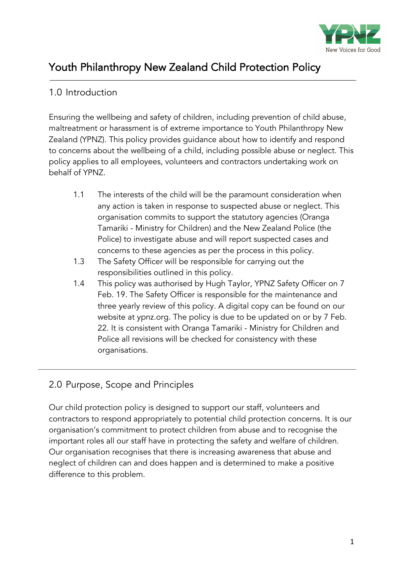

# Youth Philanthropy New Zealand Child Protection Policy

## 1.0 Introduction

 $\overline{a}$ 

Ensuring the wellbeing and safety of children, including prevention of child abuse, maltreatment or harassment is of extreme importance to Youth Philanthropy New Zealand (YPNZ). This policy provides guidance about how to identify and respond to concerns about the wellbeing of a child, including possible abuse or neglect. This policy applies to all employees, volunteers and contractors undertaking work on behalf of YPNZ.

- 1.1 The interests of the child will be the paramount consideration when any action is taken in response to suspected abuse or neglect. This organisation commits to support the statutory agencies (Oranga Tamariki - Ministry for Children) and the New Zealand Police (the Police) to investigate abuse and will report suspected cases and concerns to these agencies as per the process in this policy.
- 1.3 The Safety Officer will be responsible for carrying out the responsibilities outlined in this policy.
- 1.4 This policy was authorised by Hugh Taylor, YPNZ Safety Officer on 7 Feb. 19. The Safety Officer is responsible for the maintenance and three yearly review of this policy. A digital copy can be found on our website at ypnz.org. The policy is due to be updated on or by 7 Feb. 22. It is consistent with Oranga Tamariki - Ministry for Children and Police all revisions will be checked for consistency with these organisations.

## 2.0 Purpose, Scope and Principles

Our child protection policy is designed to support our staff, volunteers and contractors to respond appropriately to potential child protection concerns. It is our organisation's commitment to protect children from abuse and to recognise the important roles all our staff have in protecting the safety and welfare of children. Our organisation recognises that there is increasing awareness that abuse and neglect of children can and does happen and is determined to make a positive difference to this problem.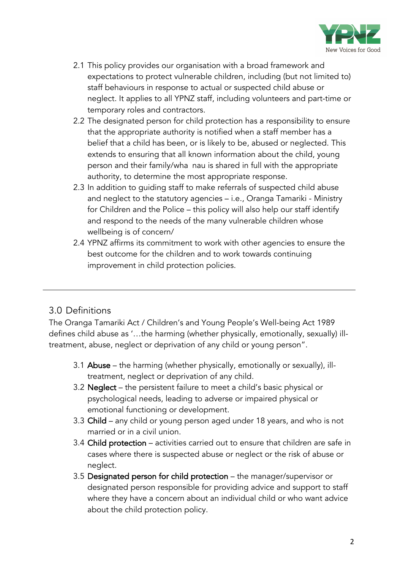

- 2.1 This policy provides our organisation with a broad framework and expectations to protect vulnerable children, including (but not limited to) staff behaviours in response to actual or suspected child abuse or neglect. It applies to all YPNZ staff, including volunteers and part-time or temporary roles and contractors.
- 2.2 The designated person for child protection has a responsibility to ensure that the appropriate authority is notified when a staff member has a belief that a child has been, or is likely to be, abused or neglected. This extends to ensuring that all known information about the child, young person and their family/wha nau is shared in full with the appropriate authority, to determine the most appropriate response.
- 2.3 In addition to guiding staff to make referrals of suspected child abuse and neglect to the statutory agencies – i.e., Oranga Tamariki - Ministry for Children and the Police – this policy will also help our staff identify and respond to the needs of the many vulnerable children whose wellbeing is of concern/
- 2.4 YPNZ affirms its commitment to work with other agencies to ensure the best outcome for the children and to work towards continuing improvement in child protection policies.

## 3.0 Definitions

The Oranga Tamariki Act / Children's and Young People's Well-being Act 1989 defines child abuse as '…the harming (whether physically, emotionally, sexually) illtreatment, abuse, neglect or deprivation of any child or young person".

- 3.1 Abuse the harming (whether physically, emotionally or sexually), illtreatment, neglect or deprivation of any child.
- 3.2 Neglect the persistent failure to meet a child's basic physical or psychological needs, leading to adverse or impaired physical or emotional functioning or development.
- 3.3 Child any child or young person aged under 18 years, and who is not married or in a civil union.
- 3.4 Child protection activities carried out to ensure that children are safe in cases where there is suspected abuse or neglect or the risk of abuse or neglect.
- 3.5 Designated person for child protection the manager/supervisor or designated person responsible for providing advice and support to staff where they have a concern about an individual child or who want advice about the child protection policy.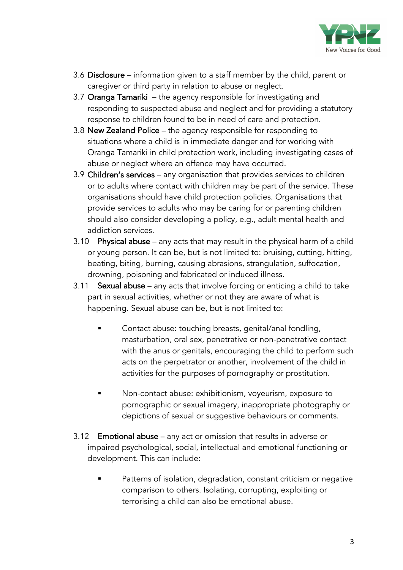

- 3.6 Disclosure information given to a staff member by the child, parent or caregiver or third party in relation to abuse or neglect.
- 3.7 Oranga Tamariki the agency responsible for investigating and responding to suspected abuse and neglect and for providing a statutory response to children found to be in need of care and protection.
- 3.8 New Zealand Police the agency responsible for responding to situations where a child is in immediate danger and for working with Oranga Tamariki in child protection work, including investigating cases of abuse or neglect where an offence may have occurred.
- 3.9 Children's services any organisation that provides services to children or to adults where contact with children may be part of the service. These organisations should have child protection policies. Organisations that provide services to adults who may be caring for or parenting children should also consider developing a policy, e.g., adult mental health and addiction services.
- 3.10 Physical abuse any acts that may result in the physical harm of a child or young person. It can be, but is not limited to: bruising, cutting, hitting, beating, biting, burning, causing abrasions, strangulation, suffocation, drowning, poisoning and fabricated or induced illness.
- 3.11 Sexual abuse any acts that involve forcing or enticing a child to take part in sexual activities, whether or not they are aware of what is happening. Sexual abuse can be, but is not limited to:
	- § Contact abuse: touching breasts, genital/anal fondling, masturbation, oral sex, penetrative or non-penetrative contact with the anus or genitals, encouraging the child to perform such acts on the perpetrator or another, involvement of the child in activities for the purposes of pornography or prostitution.
	- § Non-contact abuse: exhibitionism, voyeurism, exposure to pornographic or sexual imagery, inappropriate photography or depictions of sexual or suggestive behaviours or comments.
- 3.12 Emotional abuse any act or omission that results in adverse or impaired psychological, social, intellectual and emotional functioning or development. This can include:
	- Patterns of isolation, degradation, constant criticism or negative comparison to others. Isolating, corrupting, exploiting or terrorising a child can also be emotional abuse.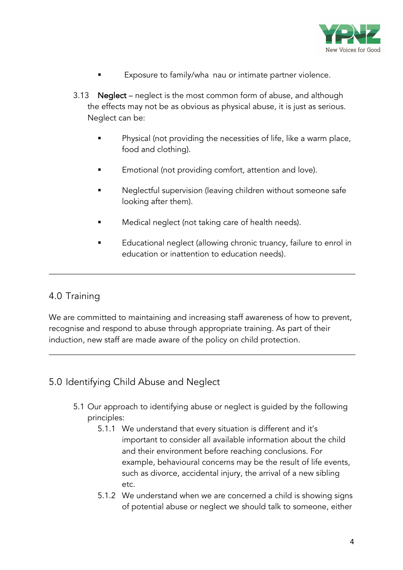

- Exposure to family/wha nau or intimate partner violence.
- 3.13 Neglect neglect is the most common form of abuse, and although the effects may not be as obvious as physical abuse, it is just as serious. Neglect can be:
	- Physical (not providing the necessities of life, like a warm place, food and clothing).
	- Emotional (not providing comfort, attention and love).
	- Neglectful supervision (leaving children without someone safe looking after them).
	- Medical neglect (not taking care of health needs).
	- **Educational neglect (allowing chronic truancy, failure to enrol in** education or inattention to education needs).

#### 4.0 Training

We are committed to maintaining and increasing staff awareness of how to prevent, recognise and respond to abuse through appropriate training. As part of their induction, new staff are made aware of the policy on child protection.

#### 5.0 Identifying Child Abuse and Neglect

- 5.1 Our approach to identifying abuse or neglect is guided by the following principles:
	- 5.1.1 We understand that every situation is different and it's important to consider all available information about the child and their environment before reaching conclusions. For example, behavioural concerns may be the result of life events, such as divorce, accidental injury, the arrival of a new sibling etc.
	- 5.1.2 We understand when we are concerned a child is showing signs of potential abuse or neglect we should talk to someone, either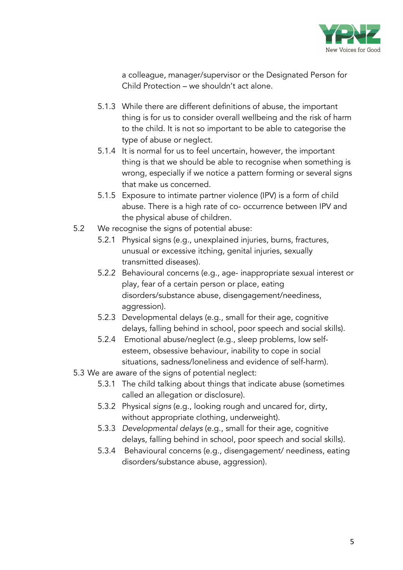

a colleague, manager/supervisor or the Designated Person for Child Protection – we shouldn't act alone.

- 5.1.3 While there are different definitions of abuse, the important thing is for us to consider overall wellbeing and the risk of harm to the child. It is not so important to be able to categorise the type of abuse or neglect.
- 5.1.4 It is normal for us to feel uncertain, however, the important thing is that we should be able to recognise when something is wrong, especially if we notice a pattern forming or several signs that make us concerned.
- 5.1.5 Exposure to intimate partner violence (IPV) is a form of child abuse. There is a high rate of co- occurrence between IPV and the physical abuse of children.
- 5.2 We recognise the signs of potential abuse:
	- 5.2.1 Physical signs (e.g., unexplained injuries, burns, fractures, unusual or excessive itching, genital injuries, sexually transmitted diseases).
	- 5.2.2 Behavioural concerns (e.g., age- inappropriate sexual interest or play, fear of a certain person or place, eating disorders/substance abuse, disengagement/neediness, aggression).
	- 5.2.3 Developmental delays (e.g., small for their age, cognitive delays, falling behind in school, poor speech and social skills).
	- 5.2.4 Emotional abuse/neglect (e.g., sleep problems, low selfesteem, obsessive behaviour, inability to cope in social situations, sadness/loneliness and evidence of self-harm).
- 5.3 We are aware of the signs of potential neglect:
	- 5.3.1 The child talking about things that indicate abuse (sometimes called an allegation or disclosure).
	- 5.3.2 Physical *signs* (e.g., looking rough and uncared for, dirty, without appropriate clothing, underweight).
	- 5.3.3 *Developmental delays* (e.g., small for their age, cognitive delays, falling behind in school, poor speech and social skills).
	- 5.3.4 Behavioural concerns (e.g., disengagement/ neediness, eating disorders/substance abuse, aggression).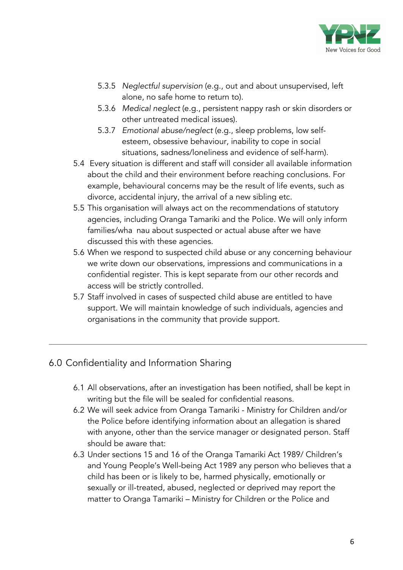

- 5.3.5 *Neglectful supervision* (e.g., out and about unsupervised, left alone, no safe home to return to).
- 5.3.6 *Medical neglect* (e.g., persistent nappy rash or skin disorders or other untreated medical issues).
- 5.3.7 *Emotional abuse/neglect* (e.g., sleep problems, low selfesteem, obsessive behaviour, inability to cope in social situations, sadness/loneliness and evidence of self-harm).
- 5.4 Every situation is different and staff will consider all available information about the child and their environment before reaching conclusions. For example, behavioural concerns may be the result of life events, such as divorce, accidental injury, the arrival of a new sibling etc.
- 5.5 This organisation will always act on the recommendations of statutory agencies, including Oranga Tamariki and the Police. We will only inform families/wha nau about suspected or actual abuse after we have discussed this with these agencies.
- 5.6 When we respond to suspected child abuse or any concerning behaviour we write down our observations, impressions and communications in a confidential register. This is kept separate from our other records and access will be strictly controlled.
- 5.7 Staff involved in cases of suspected child abuse are entitled to have support. We will maintain knowledge of such individuals, agencies and organisations in the community that provide support.

#### 6.0 Confidentiality and Information Sharing

- 6.1 All observations, after an investigation has been notified, shall be kept in writing but the file will be sealed for confidential reasons.
- 6.2 We will seek advice from Oranga Tamariki Ministry for Children and/or the Police before identifying information about an allegation is shared with anyone, other than the service manager or designated person. Staff should be aware that:
- 6.3 Under sections 15 and 16 of the Oranga Tamariki Act 1989/ Children's and Young People's Well-being Act 1989 any person who believes that a child has been or is likely to be, harmed physically, emotionally or sexually or ill-treated, abused, neglected or deprived may report the matter to Oranga Tamariki – Ministry for Children or the Police and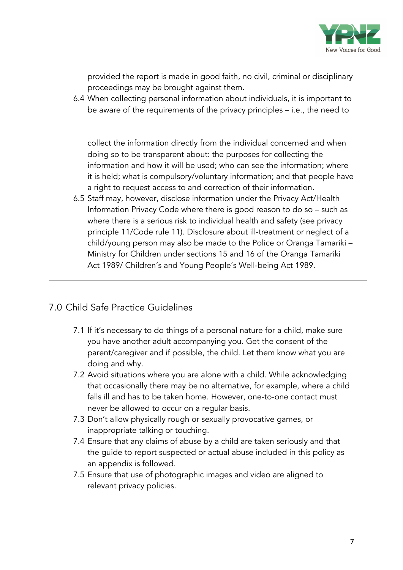

provided the report is made in good faith, no civil, criminal or disciplinary proceedings may be brought against them.

6.4 When collecting personal information about individuals, it is important to be aware of the requirements of the privacy principles – i.e., the need to

collect the information directly from the individual concerned and when doing so to be transparent about: the purposes for collecting the information and how it will be used; who can see the information; where it is held; what is compulsory/voluntary information; and that people have a right to request access to and correction of their information.

6.5 Staff may, however, disclose information under the Privacy Act/Health Information Privacy Code where there is good reason to do so – such as where there is a serious risk to individual health and safety (see privacy principle 11/Code rule 11). Disclosure about ill-treatment or neglect of a child/young person may also be made to the Police or Oranga Tamariki – Ministry for Children under sections 15 and 16 of the Oranga Tamariki Act 1989/ Children's and Young People's Well-being Act 1989.

#### 7.0 Child Safe Practice Guidelines

- 7.1 If it's necessary to do things of a personal nature for a child, make sure you have another adult accompanying you. Get the consent of the parent/caregiver and if possible, the child. Let them know what you are doing and why.
- 7.2 Avoid situations where you are alone with a child. While acknowledging that occasionally there may be no alternative, for example, where a child falls ill and has to be taken home. However, one-to-one contact must never be allowed to occur on a regular basis.
- 7.3 Don't allow physically rough or sexually provocative games, or inappropriate talking or touching.
- 7.4 Ensure that any claims of abuse by a child are taken seriously and that the guide to report suspected or actual abuse included in this policy as an appendix is followed.
- 7.5 Ensure that use of photographic images and video are aligned to relevant privacy policies.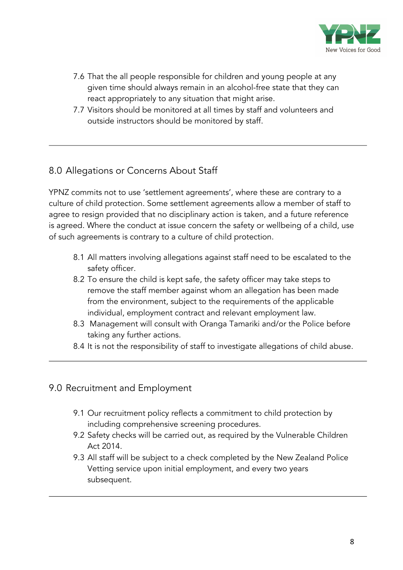

- 7.6 That the all people responsible for children and young people at any given time should always remain in an alcohol-free state that they can react appropriately to any situation that might arise.
- 7.7 Visitors should be monitored at all times by staff and volunteers and outside instructors should be monitored by staff.

#### 8.0 Allegations or Concerns About Staff

YPNZ commits not to use 'settlement agreements', where these are contrary to a culture of child protection. Some settlement agreements allow a member of staff to agree to resign provided that no disciplinary action is taken, and a future reference is agreed. Where the conduct at issue concern the safety or wellbeing of a child, use of such agreements is contrary to a culture of child protection.

- 8.1 All matters involving allegations against staff need to be escalated to the safety officer.
- 8.2 To ensure the child is kept safe, the safety officer may take steps to remove the staff member against whom an allegation has been made from the environment, subject to the requirements of the applicable individual, employment contract and relevant employment law.
- 8.3 Management will consult with Oranga Tamariki and/or the Police before taking any further actions.
- 8.4 It is not the responsibility of staff to investigate allegations of child abuse.

#### 9.0 Recruitment and Employment

- 9.1 Our recruitment policy reflects a commitment to child protection by including comprehensive screening procedures.
- 9.2 Safety checks will be carried out, as required by the Vulnerable Children Act 2014.
- 9.3 All staff will be subject to a check completed by the New Zealand Police Vetting service upon initial employment, and every two years subsequent.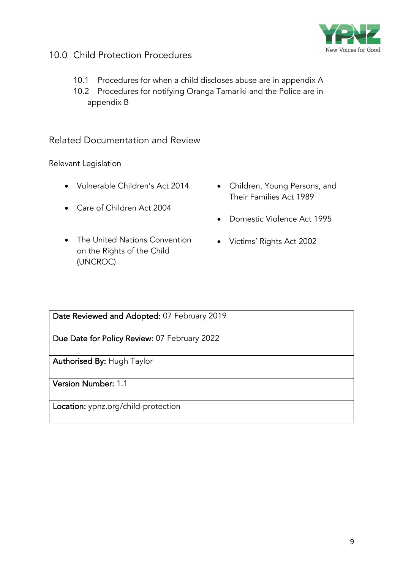

### 10.0 Child Protection Procedures

- 10.1 Procedures for when a child discloses abuse are in appendix A
- 10.2 Procedures for notifying Oranga Tamariki and the Police are in appendix B

#### Related Documentation and Review

Relevant Legislation

- Vulnerable Children's Act 2014
- Care of Children Act 2004
- The United Nations Convention on the Rights of the Child (UNCROC)
- Children, Young Persons, and Their Families Act 1989
- Domestic Violence Act 1995
- Victims' Rights Act 2002

Date Reviewed and Adopted: 07 February 2019

Due Date for Policy Review: 07 February 2022

Authorised By: Hugh Taylor

Version Number: 1.1

Location: ypnz.org/child-protection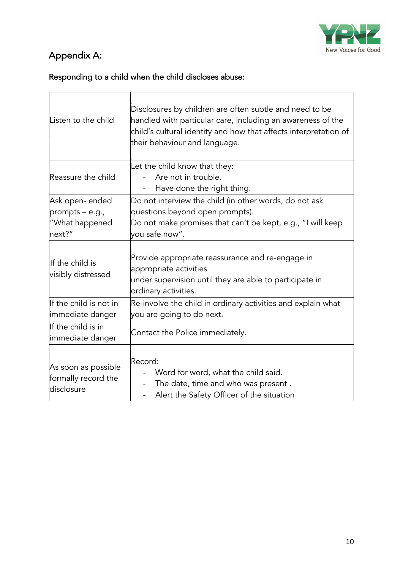

# Appendix A:

## Responding to a child when the child discloses abuse:

| Listen to the child                                           | Disclosures by children are often subtle and need to be<br>handled with particular care, including an awareness of the<br>child's cultural identity and how that affects interpretation of<br>their behaviour and language. |  |
|---------------------------------------------------------------|-----------------------------------------------------------------------------------------------------------------------------------------------------------------------------------------------------------------------------|--|
| Reassure the child                                            | Let the child know that they:<br>Are not in trouble.<br>Have done the right thing.                                                                                                                                          |  |
| Ask open-ended<br>prompts - e.g.,<br>"What happened<br>next?" | Do not interview the child (in other words, do not ask<br>questions beyond open prompts).<br>Do not make promises that can't be kept, e.g., "I will keep<br>you safe now".                                                  |  |
| llf the child is<br>visibly distressed                        | Provide appropriate reassurance and re-engage in<br>appropriate activities<br>under supervision until they are able to participate in<br>ordinary activities.                                                               |  |
| If the child is not in<br>immediate danger                    | Re-involve the child in ordinary activities and explain what<br>you are going to do next.                                                                                                                                   |  |
| If the child is in<br>immediate danger                        | Contact the Police immediately.                                                                                                                                                                                             |  |
| As soon as possible<br>formally record the<br>disclosure      | Record:<br>Word for word, what the child said.<br>The date, time and who was present.<br>Alert the Safety Officer of the situation                                                                                          |  |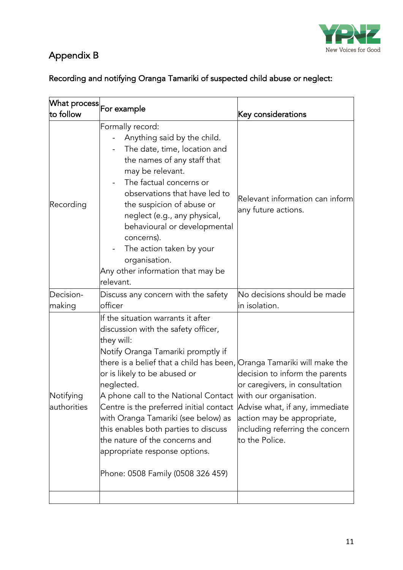

## Appendix B

## Recording and notifying Oranga Tamariki of suspected child abuse or neglect:

| $ \mathsf{W}$ hat process $ $<br>to follow | For example                                                                                                                                                                                                                                                                                                                                                                                                                                                                                                                                            | Key considerations                                                                                                                                                                    |
|--------------------------------------------|--------------------------------------------------------------------------------------------------------------------------------------------------------------------------------------------------------------------------------------------------------------------------------------------------------------------------------------------------------------------------------------------------------------------------------------------------------------------------------------------------------------------------------------------------------|---------------------------------------------------------------------------------------------------------------------------------------------------------------------------------------|
| Recording                                  | Formally record:<br>Anything said by the child.<br>The date, time, location and<br>the names of any staff that<br>may be relevant.<br>The factual concerns or<br>observations that have led to<br>the suspicion of abuse or<br>neglect (e.g., any physical,<br>behavioural or developmental<br>concerns).<br>The action taken by your<br>organisation.<br>Any other information that may be<br>relevant.                                                                                                                                               | Relevant information can inform<br>any future actions.                                                                                                                                |
| Decision-<br>making                        | Discuss any concern with the safety<br>officer                                                                                                                                                                                                                                                                                                                                                                                                                                                                                                         | No decisions should be made<br>in isolation.                                                                                                                                          |
| Notifying<br>authorities                   | If the situation warrants it after<br>discussion with the safety officer,<br>they will:<br>Notify Oranga Tamariki promptly if<br>there is a belief that a child has been, Oranga Tamariki will make the<br>or is likely to be abused or<br>neglected.<br>A phone call to the National Contact with our organisation.<br>Centre is the preferred initial contact<br>with Oranga Tamariki (see below) as<br>this enables both parties to discuss<br>the nature of the concerns and<br>appropriate response options.<br>Phone: 0508 Family (0508 326 459) | decision to inform the parents<br>or caregivers, in consultation<br>Advise what, if any, immediate<br>action may be appropriate,<br>including referring the concern<br>to the Police. |